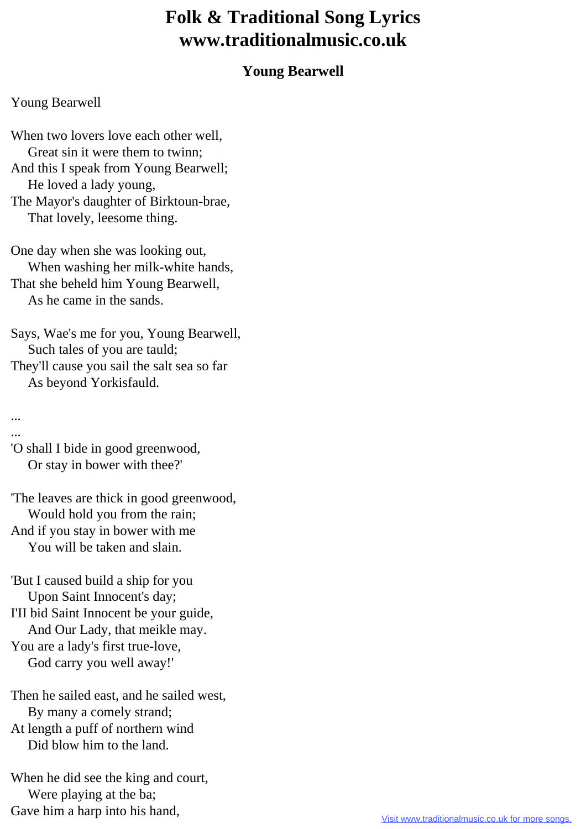## **Folk & Traditional Song Lyrics www.traditionalmusic.co.uk**

## **Young Bearwell**

## Young Bearwell

When two lovers love each other well. Great sin it were them to twinn; And this I speak from Young Bearwell; He loved a lady young, The Mayor's daughter of Birktoun-brae, That lovely, leesome thing.

One day when she was looking out, When washing her milk-white hands, That she beheld him Young Bearwell, As he came in the sands.

Says, Wae's me for you, Young Bearwell, Such tales of you are tauld; They'll cause you sail the salt sea so far As beyond Yorkisfauld.

... ...

'O shall I bide in good greenwood, Or stay in bower with thee?'

'The leaves are thick in good greenwood, Would hold you from the rain; And if you stay in bower with me You will be taken and slain.

'But I caused build a ship for you Upon Saint Innocent's day; I'II bid Saint Innocent be your guide, And Our Lady, that meikle may. You are a lady's first true-love, God carry you well away!'

Then he sailed east, and he sailed west, By many a comely strand; At length a puff of northern wind Did blow him to the land.

When he did see the king and court, Were playing at the ba; Gave him a harp into his hand,